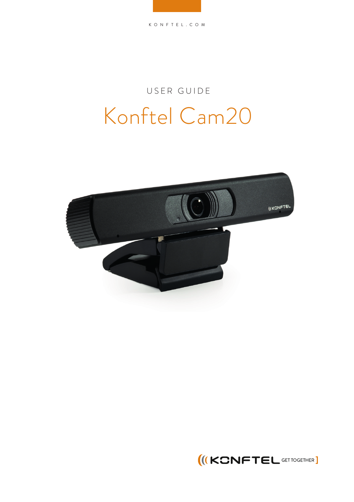

# Konftel Cam20 USER GUIDE



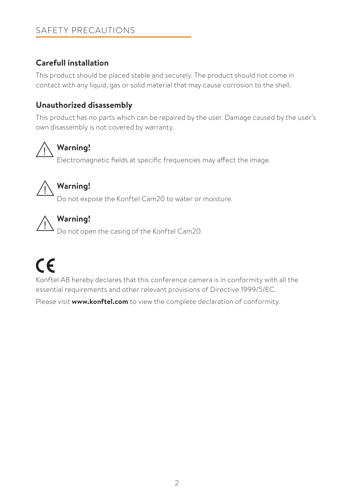## **Carefull installation**

This product should be placed stable and securely. The product should not come in contact with any liquid, gas or solid material that may cause corrosion to the shell.

### **Unauthorized disassembly**

This product has no parts which can be repaired by the user. Damage caused by the user's own disassembly is not covered by warranty.



# **Warning!**

Electromagnetic fields at specific frequencies may affect the image.



## **Warning!**

Do not expose the Konftel Cam20 to water or moisture.



## **Warning!**

Do not open the casing of the Konftel Cam20.



Konftel AB hereby declares that this conference camera is in conformity with all the essential requirements and other relevant provisions of Directive 1999/5/EC.

Please visit **www.konftel.com** to view the complete declaration of conformity.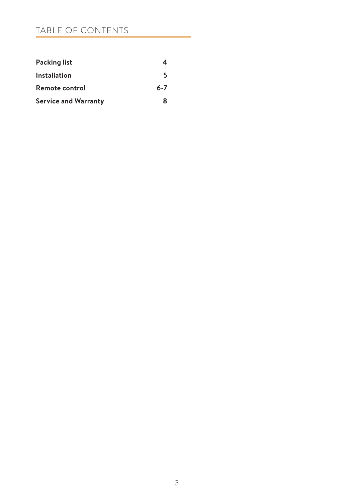## TABLE OF CONTENTS

| <b>Packing list</b>         |         |
|-----------------------------|---------|
| Installation                | 5       |
| Remote control              | $6 - 7$ |
| <b>Service and Warranty</b> | Ջ       |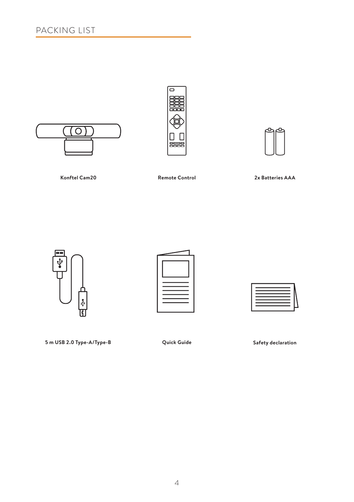





**Konftel Cam20 Remote Control**

**2x Batteries AAA**







**5 m USB 2.0 Type-A/Type-B Quick Guide Safety declaration**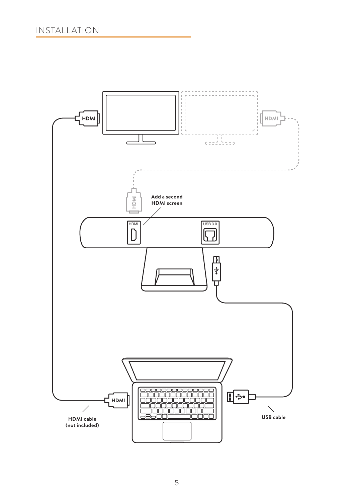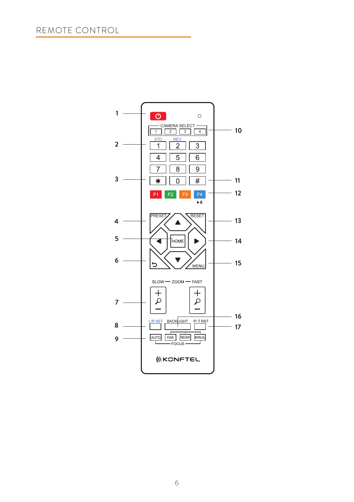## REMOTE CONTROL

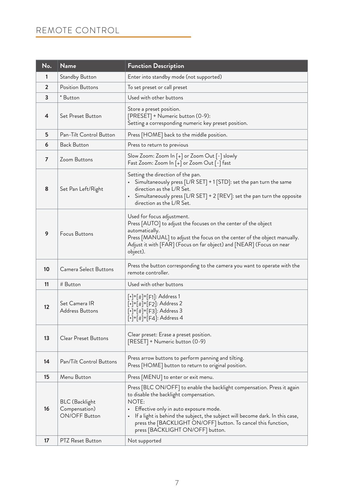## REMOTE CONTROL

| No. | Name                                                           | <b>Function Description</b>                                                                                                                                                                                                                                                                                                                                 |
|-----|----------------------------------------------------------------|-------------------------------------------------------------------------------------------------------------------------------------------------------------------------------------------------------------------------------------------------------------------------------------------------------------------------------------------------------------|
| 1   | <b>Standby Button</b>                                          | Enter into standby mode (not supported)                                                                                                                                                                                                                                                                                                                     |
| 2   | Position Buttons                                               | To set preset or call preset                                                                                                                                                                                                                                                                                                                                |
| 3   | * Button                                                       | Used with other buttons                                                                                                                                                                                                                                                                                                                                     |
| 4   | Set Preset Button                                              | Store a preset position.<br>[PRESET] + Numeric button (0-9):<br>Setting a corresponding numeric key preset position.                                                                                                                                                                                                                                        |
| 5   | Pan-Tilt Control Button                                        | Press [HOME] back to the middle position.                                                                                                                                                                                                                                                                                                                   |
| 6   | <b>Back Button</b>                                             | Press to return to previous                                                                                                                                                                                                                                                                                                                                 |
| 7   | Zoom Buttons                                                   | Slow Zoom: Zoom In [+] or Zoom Out [-] slowly<br>Fast Zoom: Zoom In [+] or Zoom Out [-] fast                                                                                                                                                                                                                                                                |
| 8   | Set Pan Left/Right                                             | Setting the direction of the pan.<br>• Simultaneously press [L/R SET] + 1 [STD]: set the pan turn the same<br>direction as the L/R Set.<br>• Simultaneously press [L/R SET] + 2 [REV]: set the pan turn the opposite<br>direction as the L/R Set.                                                                                                           |
| 9   | Focus Buttons                                                  | Used for focus adjustment.<br>Press [AUTO] to adjust the focuses on the center of the object<br>automatically.<br>Press [MANUAL] to adjust the focus on the center of the object manually.<br>Adjust it with [FAR] (Focus on far object) and [NEAR] (Focus on near<br>object).                                                                              |
| 10  | <b>Camera Select Buttons</b>                                   | Press the button corresponding to the camera you want to operate with the<br>remote controller.                                                                                                                                                                                                                                                             |
| 11  | # Button                                                       | Used with other buttons                                                                                                                                                                                                                                                                                                                                     |
| 12  | Set Camera IR<br>Address Buttons                               | [*]+[#]+[F1]: Address 1<br>[*]+[#]+[F2]: Address 2<br>[*]+[#]+[F3]: Address 3<br>[*]+[#]+[F4]: Address 4                                                                                                                                                                                                                                                    |
| 13  | <b>Clear Preset Buttons</b>                                    | Clear preset: Erase a preset position.<br>[RESET] + Numeric button (0-9)                                                                                                                                                                                                                                                                                    |
| 14  | Pan/Tilt Control Buttons                                       | Press arrow buttons to perform panning and tilting.<br>Press [HOME] button to return to original position.                                                                                                                                                                                                                                                  |
| 15  | Menu Button                                                    | Press [MENU] to enter or exit menu.                                                                                                                                                                                                                                                                                                                         |
| 16  | <b>BLC</b> (Backlight<br>Compensation)<br><b>ON/OFF Button</b> | Press [BLC ON/OFF] to enable the backlight compensation. Press it again<br>to disable the backlight compensation.<br>NOTE:<br>• Effective only in auto exposure mode.<br>If a light is behind the subject, the subject will become dark. In this case,<br>press the [BACKLIGHT ON/OFF] button. To cancel this function,<br>press [BACKLIGHT ON/OFF] button. |
| 17  | <b>PTZ Reset Button</b>                                        | Not supported                                                                                                                                                                                                                                                                                                                                               |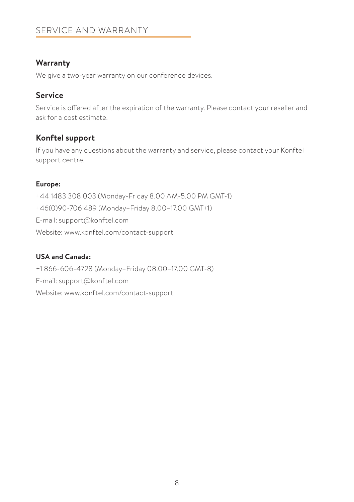#### SERVICE AND WARRANTY

#### **Warranty**

We give a two-year warranty on our conference devices.

#### **Service**

Service is offered after the expiration of the warranty. Please contact your reseller and ask for a cost estimate.

#### **Konftel support**

If you have any questions about the warranty and service, please contact your Konftel support centre.

#### **Europe:**

+44 1483 308 003 (Monday-Friday 8.00 AM-5.00 PM GMT-1) +46(0)90-706 489 (Monday–Friday 8.00–17.00 GMT+1) E-mail: support@konftel.com Website: www.konftel.com/contact-support

#### **USA and Canada:**

+1 866-606-4728 (Monday–Friday 08.00–17.00 GMT-8) E-mail: support@konftel.com Website: www.konftel.com/contact-support